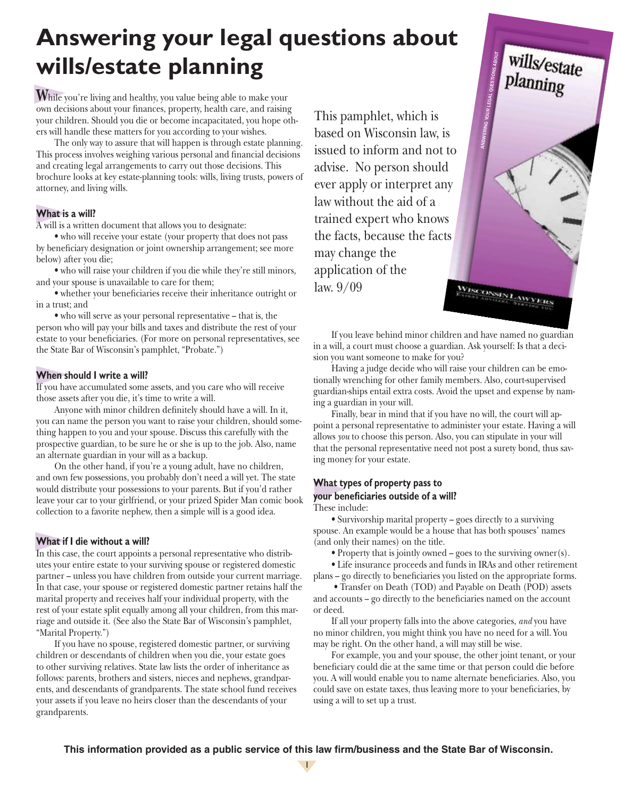# **Answering your legal questions about wills/estate planning**

**W**hile you're living and healthy, you value being able to make your own decisions about your finances, property, health care, and raising your children. Should you die or become incapacitated, you hope others will handle these matters for you according to your wishes.

The only way to assure that will happen is through estate planning. This process involves weighing various personal and financial decisions and creating legal arrangements to carry out those decisions. This brochure looks at key estate-planning tools: wills, living trusts, powers of attorney, and living wills.

## **What is a will?**

A will is a written document that allows you to designate:

• who will receive your estate (your property that does not pass) by beneficiary designation or joint ownership arrangement; see more below) after you die;

• who will raise your children if you die while they're still minors, and your spouse is unavailable to care for them;

• whether your beneficiaries receive their inheritance outright or in a trust; and

• who will serve as your personal representative – that is, the person who will pay your bills and taxes and distribute the rest of your estate to your beneficiaries. (For more on personal representatives, see the State Bar of Wisconsin's pamphlet, "Probate.")

## **When should I write a will?**

If you have accumulated some assets, and you care who will receive those assets after you die, it's time to write a will.

Anyone with minor children definitely should have a will. In it, you can name the person you want to raise your children, should something happen to you and your spouse. Discuss this carefully with the prospective guardian, to be sure he or she is up to the job. Also, name an alternate guardian in your will as a backup.

On the other hand, if you're a young adult, have no children, and own few possessions, you probably don't need a will yet. The state would distribute your possessions to your parents. But if you'd rather leave your car to your girlfriend, or your prized Spider Man comic book collection to a favorite nephew, then a simple will is a good idea.

# **What if I die without a will?**

In this case, the court appoints a personal representative who distributes your entire estate to your surviving spouse or registered domestic partner – unless you have children from outside your current marriage. In that case, your spouse or registered domestic partner retains half the marital property and receives half your individual property, with the rest of your estate split equally among all your children, from this marriage and outside it. (See also the State Bar of Wisconsin's pamphlet, "Marital Property.")

If you have no spouse, registered domestic partner, or surviving children or descendants of children when you die, your estate goes to other surviving relatives. State law lists the order of inheritance as follows: parents, brothers and sisters, nieces and nephews, grandparents, and descendants of grandparents. The state school fund receives your assets if you leave no heirs closer than the descendants of your grandparents.

This pamphlet, which is based on Wisconsin law, is issued to inform and not to advise. No person should ever apply or interpret any law without the aid of a trained expert who knows the facts, because the facts may change the application of the law. 9/09 WISCONSINI.

If you leave behind minor children and have named no guardian in a will, a court must choose a guardian. Ask yourself: Is that a decision you want someone to make for you?

ANSWERING YOUR LEGAL QUESTIONS ABOUT

wills/estate

planning

Having a judge decide who will raise your children can be emotionally wrenching for other family members. Also, court-supervised guardian-ships entail extra costs. Avoid the upset and expense by naming a guardian in your will.

Finally, bear in mind that if you have no will, the court will appoint a personal representative to administer your estate. Having a will allows *you* to choose this person. Also, you can stipulate in your will that the personal representative need not post a surety bond, thus saving money for your estate.

## **What types of property pass to your beneficiaries outside of a will?**

These include:

• Survivorship marital property – goes directly to a surviving spouse. An example would be a house that has both spouses' names (and only their names) on the title.

• Property that is jointly owned – goes to the surviving owner(s).

• Life insurance proceeds and funds in IRAs and other retirement plans – go directly to beneficiaries you listed on the appropriate forms.

• Transfer on Death (TOD) and Payable on Death (POD) assets and accounts – go directly to the beneficiaries named on the account or deed.

If all your property falls into the above categories, *and* you have no minor children, you might think you have no need for a will. You may be right. On the other hand, a will may still be wise.

For example, you and your spouse, the other joint tenant, or your beneficiary could die at the same time or that person could die before you. A will would enable you to name alternate beneficiaries. Also, you could save on estate taxes, thus leaving more to your beneficiaries, by using a will to set up a trust.

**This information provided as a public service of this law firm/business and the State Bar of Wisconsin.**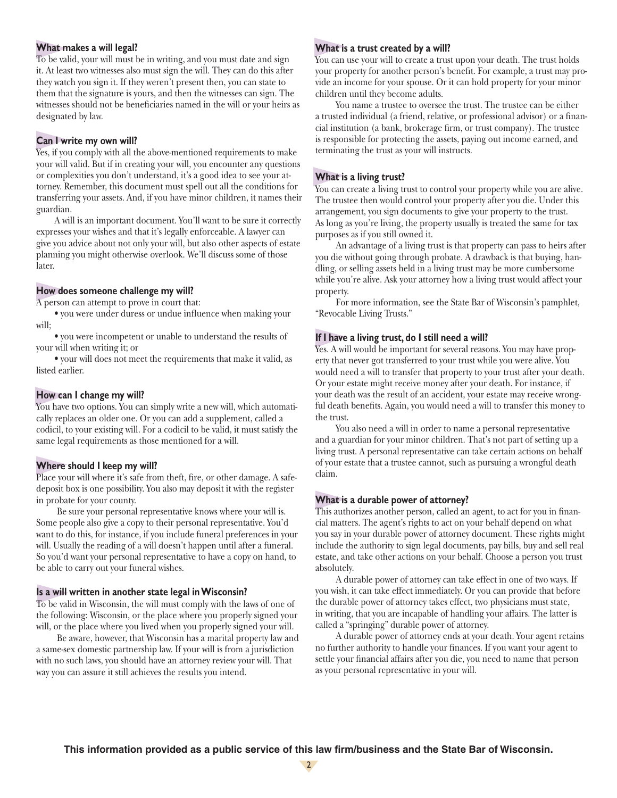#### **What makes a will legal?**

To be valid, your will must be in writing, and you must date and sign it. At least two witnesses also must sign the will. They can do this after they watch you sign it. If they weren't present then, you can state to them that the signature is yours, and then the witnesses can sign. The witnesses should not be beneficiaries named in the will or your heirs as designated by law.

## **Can I write my own will?**

Yes, if you comply with all the above-mentioned requirements to make your will valid. But if in creating your will, you encounter any questions or complexities you don't understand, it's a good idea to see your attorney. Remember, this document must spell out all the conditions for transferring your assets. And, if you have minor children, it names their guardian.

A will is an important document. You'll want to be sure it correctly expresses your wishes and that it's legally enforceable. A lawyer can give you advice about not only your will, but also other aspects of estate planning you might otherwise overlook. We'll discuss some of those later.

## **How does someone challenge my will?**

A person can attempt to prove in court that:

• you were under duress or undue influence when making your will;

• you were incompetent or unable to understand the results of your will when writing it; or

• your will does not meet the requirements that make it valid, as listed earlier.

#### **How can I change my will?**

You have two options. You can simply write a new will, which automatically replaces an older one. Or you can add a supplement, called a codicil, to your existing will. For a codicil to be valid, it must satisfy the same legal requirements as those mentioned for a will.

#### **Where should I keep my will?**

Place your will where it's safe from theft, fire, or other damage. A safedeposit box is one possibility. You also may deposit it with the register in probate for your county.

Be sure your personal representative knows where your will is. Some people also give a copy to their personal representative. You'd want to do this, for instance, if you include funeral preferences in your will. Usually the reading of a will doesn't happen until after a funeral. So you'd want your personal representative to have a copy on hand, to be able to carry out your funeral wishes.

#### **Is a will written in another state legal in Wisconsin?**

To be valid in Wisconsin, the will must comply with the laws of one of the following: Wisconsin, or the place where you properly signed your will, or the place where you lived when you properly signed your will.

Be aware, however, that Wisconsin has a marital property law and a same-sex domestic partnership law. If your will is from a jurisdiction with no such laws, you should have an attorney review your will. That way you can assure it still achieves the results you intend.

#### **What is a trust created by a will?**

You can use your will to create a trust upon your death. The trust holds your property for another person's benefit. For example, a trust may provide an income for your spouse. Or it can hold property for your minor children until they become adults.

You name a trustee to oversee the trust. The trustee can be either a trusted individual (a friend, relative, or professional advisor) or a financial institution (a bank, brokerage firm, or trust company). The trustee is responsible for protecting the assets, paying out income earned, and terminating the trust as your will instructs.

#### **What is a living trust?**

You can create a living trust to control your property while you are alive. The trustee then would control your property after you die. Under this arrangement, you sign documents to give your property to the trust. As long as you're living, the property usually is treated the same for tax purposes as if you still owned it.

An advantage of a living trust is that property can pass to heirs after you die without going through probate. A drawback is that buying, handling, or selling assets held in a living trust may be more cumbersome while you're alive. Ask your attorney how a living trust would affect your property.

For more information, see the State Bar of Wisconsin's pamphlet, "Revocable Living Trusts."

#### **If I have a living trust, do I still need a will?**

Yes. A will would be important for several reasons. You may have property that never got transferred to your trust while you were alive. You would need a will to transfer that property to your trust after your death. Or your estate might receive money after your death. For instance, if your death was the result of an accident, your estate may receive wrongful death benefits. Again, you would need a will to transfer this money to the trust.

You also need a will in order to name a personal representative and a guardian for your minor children. That's not part of setting up a living trust. A personal representative can take certain actions on behalf of your estate that a trustee cannot, such as pursuing a wrongful death claim.

#### **What is a durable power of attorney?**

This authorizes another person, called an agent, to act for you in financial matters. The agent's rights to act on your behalf depend on what you say in your durable power of attorney document. These rights might include the authority to sign legal documents, pay bills, buy and sell real estate, and take other actions on your behalf. Choose a person you trust absolutely.

A durable power of attorney can take effect in one of two ways. If you wish, it can take effect immediately. Or you can provide that before the durable power of attorney takes effect, two physicians must state, in writing, that you are incapable of handling your affairs. The latter is called a "springing" durable power of attorney.

A durable power of attorney ends at your death. Your agent retains no further authority to handle your finances. If you want your agent to settle your financial affairs after you die, you need to name that person as your personal representative in your will.

**This information provided as a public service of this law firm/business and the State Bar of Wisconsin.**